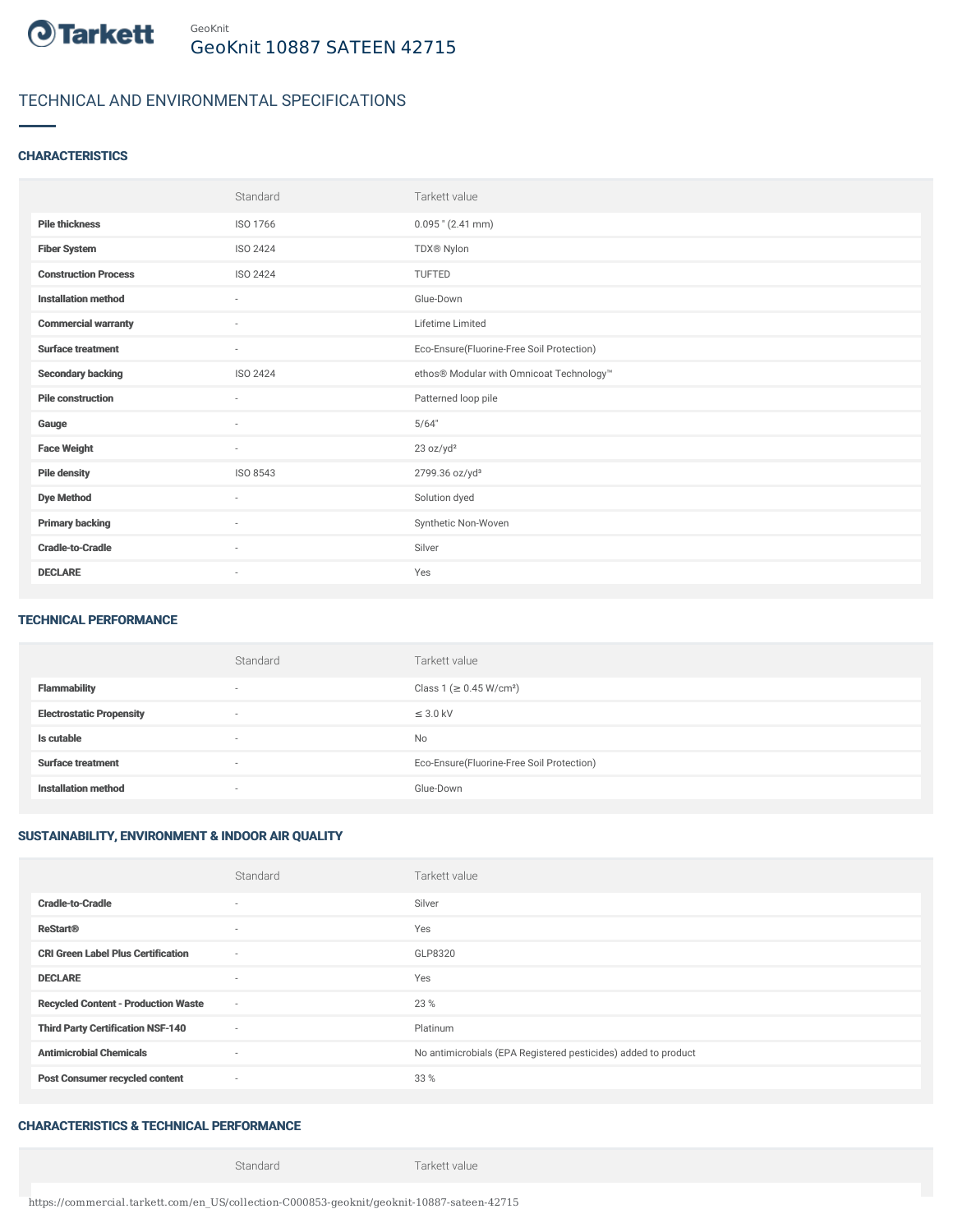

# TECHNICAL AND ENVIRONMENTAL SPECIFICATIONS

#### **CHARACTERISTICS**

|                             | Standard                 | Tarkett value                             |
|-----------------------------|--------------------------|-------------------------------------------|
| <b>Pile thickness</b>       | ISO 1766                 | $0.095$ " (2.41 mm)                       |
| <b>Fiber System</b>         | ISO 2424                 | TDX® Nylon                                |
| <b>Construction Process</b> | <b>ISO 2424</b>          | <b>TUFTED</b>                             |
| <b>Installation method</b>  | $\sim$                   | Glue-Down                                 |
| <b>Commercial warranty</b>  | $\overline{\phantom{a}}$ | Lifetime Limited                          |
| <b>Surface treatment</b>    | $\sim$                   | Eco-Ensure(Fluorine-Free Soil Protection) |
| <b>Secondary backing</b>    | ISO 2424                 | ethos® Modular with Omnicoat Technology™  |
| <b>Pile construction</b>    | $\sim$                   | Patterned loop pile                       |
| Gauge                       | $\sim$                   | 5/64"                                     |
| <b>Face Weight</b>          | $\sim$                   | 23 oz/yd <sup>2</sup>                     |
| <b>Pile density</b>         | ISO 8543                 | 2799.36 oz/yd <sup>3</sup>                |
| <b>Dye Method</b>           | $\sim$                   | Solution dyed                             |
| <b>Primary backing</b>      | $\sim$                   | Synthetic Non-Woven                       |
| <b>Cradle-to-Cradle</b>     | $\overline{\phantom{a}}$ | Silver                                    |
| <b>DECLARE</b>              | $\overline{\phantom{a}}$ | Yes                                       |

#### TECHNICAL PERFORMANCE

|                                 | Standard                 | Tarkett value                             |
|---------------------------------|--------------------------|-------------------------------------------|
| <b>Flammability</b>             | $\overline{\phantom{a}}$ | Class 1 (≥ 0.45 W/cm <sup>2</sup> )       |
| <b>Electrostatic Propensity</b> | $\overline{\phantom{a}}$ | $\leq$ 3.0 kV                             |
| Is cutable                      | $\overline{\phantom{a}}$ | <b>No</b>                                 |
| <b>Surface treatment</b>        | $\overline{\phantom{a}}$ | Eco-Ensure(Fluorine-Free Soil Protection) |
| <b>Installation method</b>      | $\overline{\phantom{a}}$ | Glue-Down                                 |

## SUSTAINABILITY, ENVIRONMENT & INDOOR AIR QUALITY

|                                            | Standard                 | Tarkett value                                                  |
|--------------------------------------------|--------------------------|----------------------------------------------------------------|
| <b>Cradle-to-Cradle</b>                    | ٠                        | Silver                                                         |
| <b>ReStart®</b>                            | $\sim$                   | Yes                                                            |
| <b>CRI Green Label Plus Certification</b>  | $\sim$                   | GLP8320                                                        |
| <b>DECLARE</b>                             | $\sim$                   | Yes                                                            |
| <b>Recycled Content - Production Waste</b> | $\sim$                   | 23 %                                                           |
| <b>Third Party Certification NSF-140</b>   | $\sim$                   | Platinum                                                       |
| <b>Antimicrobial Chemicals</b>             | $\overline{\phantom{a}}$ | No antimicrobials (EPA Registered pesticides) added to product |
| <b>Post Consumer recycled content</b>      | $\sim$                   | 33 %                                                           |

## CHARACTERISTICS & TECHNICAL PERFORMANCE

Standard Tarkett value